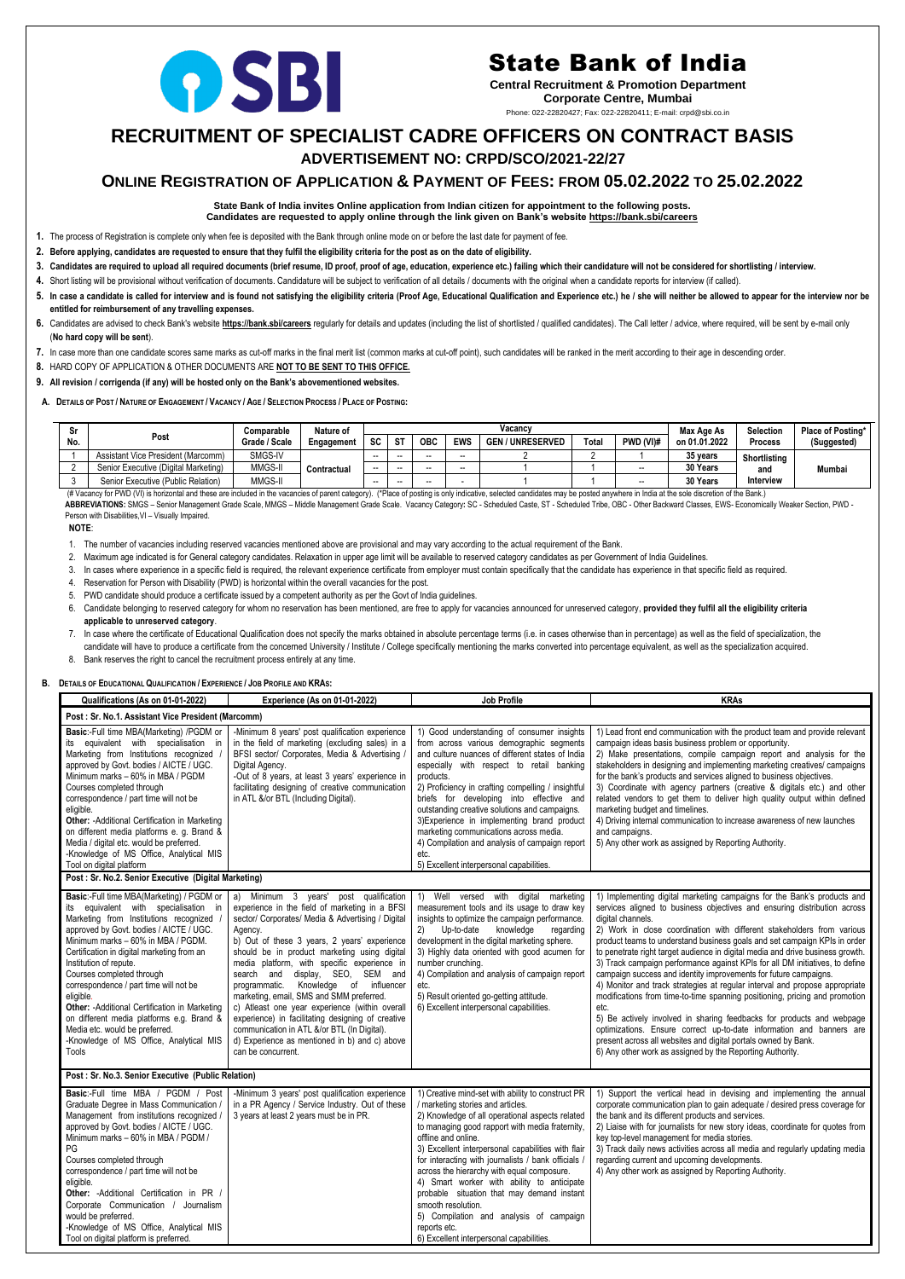## **RECRUITMENT OF SPECIALIST CADRE OFFICERS ON CONTRACT BASIS**

 **ADVERTISEMENT NO: CRPD/SCO/2021-22/27** 

### **ONLINE REGISTRATION OF APPLICATION & PAYMENT OF FEES: FROM 05.02.2022 TO 25.02.2022**

#### **State Bank of India invites Online application from Indian citizen for appointment to the following posts. Candidates are requested to apply online through the link given on Bank's website<https://bank.sbi/careers>**

**1.** The process of Registration is complete only when fee is deposited with the Bank through online mode on or before the last date for payment of fee.

**2. Before applying, candidates are requested to ensure that they fulfil the eligibility criteria for the post as on the date of eligibility.**

- 3. Candidates are required to upload all required documents (brief resume, ID proof, proof of age, education, experience etc.) failing which their candidature will not be considered for shortlisting / interview.
- **4.** Short listing will be provisional without verification of documents. Candidature will be subject to verification of all details / documents with the original when a candidate reports for interview (if called).
- 5. In case a candidate is called for interview and is found not satisfying the eligibility criteria (Proof Age, Educational Qualification and Experience etc.) he / she will neither be allowed to appear for the interview no **entitled for reimbursement of any travelling expenses.**
- 6. Candidates are advised to check Bank's website <https://bank.sbi/careers> regularly for details and updates (including the list of shortlisted / qualified candidates). The Call letter / advice, where required, will be sen (**No hard copy will be sent**).
- **7.** In case more than one candidate scores same marks as cut-off marks in the final merit list (common marks at cut-off point), such candidates will be ranked in the merit according to their age in descending order.
- **8.** HARD COPY OF APPLICATION & OTHER DOCUMENTS ARE **NOT TO BE SENT TO THIS OFFICE.**
- **9. All revision / corrigenda (if any) will be hosted only on the Bank's abovementioned websites.**
- A. DETAILS OF POST / NATURE OF ENGAGEMENT / VACANCY / AGE / SELECTION PROCESS / PLACE OF POSTING:

| Sr. |                                      | Nature of     | Vacancv     |                          |           |            |                          |                            | Max Age As | <b>Selection</b> | Place of Posting* |                |             |
|-----|--------------------------------------|---------------|-------------|--------------------------|-----------|------------|--------------------------|----------------------------|------------|------------------|-------------------|----------------|-------------|
| No. | Post                                 | Grade / Scale | Engagement  | <b>SC</b>                | <b>ST</b> | <b>OBC</b> | <b>EWS</b>               | / UNRESERVED<br><b>GEN</b> | Total      | PWD (VI)#        | on 01.01.2022     | <b>Process</b> | (Suggested) |
|     | Assistant Vice President (Marcomm)   | SMGS-IV       |             | $- -$                    | $- -$     |            | $- -$                    |                            |            |                  | 35 years          | Shortlisting   |             |
|     | Senior Executive (Digital Marketing) | MMGS-II       | Contractual | $\overline{\phantom{a}}$ | $- -$     |            | $\overline{\phantom{a}}$ |                            |            | $- -$            | 30 Years          | and            | Mumbai      |
|     | Senior Executive (Public Relation)   | MMGS-II       |             | $- -$                    | $- -$     |            |                          |                            |            | $- -$            | 30 Years          | Interview      |             |

(# Vacancy for PWD (VI) is horizontal and these are included in the vacancies of parent category). (\*Place of posting is only indicative, selected candidates may be posted anywhere in India at the sole discretion of the Ba ABBREVIATIONS: SMGS - Senior Management Grade Scale, MMGS - Middle Management Grade Scale. Vacancy Category: SC - Scheduled Caste, ST - Scheduled Tribe, OBC - Other Backward Classes, EWS- Economically Weaker Section, PWD -Person with Disabilities, VI - Visually Impaired.

#### **NOTE**:

- 1. The number of vacancies including reserved vacancies mentioned above are provisional and may vary according to the actual requirement of the Bank.
- 2. Maximum age indicated is for General category candidates. Relaxation in upper age limit will be available to reserved category candidates as per Government of India Guidelines.
- 3. In cases where experience in a specific field is required, the relevant experience certificate from employer must contain specifically that the candidate has experience in that specific field as required.
- 4. Reservation for Person with Disability (PWD) is horizontal within the overall vacancies for the post.
- 5. PWD candidate should produce a certificate issued by a competent authority as per the Govt of India guidelines.
- 6. Candidate belonging to reserved category for whom no reservation has been mentioned, are free to apply for vacancies announced for unreserved category, **provided they fulfil all the eligibility criteria applicable to unreserved category**.
- 7. In case where the certificate of Educational Qualification does not specify the marks obtained in absolute percentage terms (i.e. in cases otherwise than in percentage) as well as the field of specialization, the candidate will have to produce a certificate from the concerned University / Institute / College specifically mentioning the marks converted into percentage equivalent, as well as the specialization acquired.
- 8. Bank reserves the right to cancel the recruitment process entirely at any time.

#### **B. DETAILS OF EDUCATIONAL QUALIFICATION / EXPERIENCE / JOB PROFILE AND KRAS:**

| Qualifications (As on 01-01-2022)                                                                                                                                                                                                                                                                                                                                                                                                                                                                                                                                           | Experience (As on 01-01-2022)                                                                                                                                                                                                                                                                                                                                                                                                                                                                                                                                                                                                                                 | <b>Job Profile</b>                                                                                                                                                                                                                                                                                                                                                                                                                                                                                                                                                                                      | <b>KRAs</b>                                                                                                                                                                                                                                                                                                                                                                                                                                                                                                                                                                                                                                                                                                                                                                                                                                                                                                                                                                                                                 |  |  |  |  |
|-----------------------------------------------------------------------------------------------------------------------------------------------------------------------------------------------------------------------------------------------------------------------------------------------------------------------------------------------------------------------------------------------------------------------------------------------------------------------------------------------------------------------------------------------------------------------------|---------------------------------------------------------------------------------------------------------------------------------------------------------------------------------------------------------------------------------------------------------------------------------------------------------------------------------------------------------------------------------------------------------------------------------------------------------------------------------------------------------------------------------------------------------------------------------------------------------------------------------------------------------------|---------------------------------------------------------------------------------------------------------------------------------------------------------------------------------------------------------------------------------------------------------------------------------------------------------------------------------------------------------------------------------------------------------------------------------------------------------------------------------------------------------------------------------------------------------------------------------------------------------|-----------------------------------------------------------------------------------------------------------------------------------------------------------------------------------------------------------------------------------------------------------------------------------------------------------------------------------------------------------------------------------------------------------------------------------------------------------------------------------------------------------------------------------------------------------------------------------------------------------------------------------------------------------------------------------------------------------------------------------------------------------------------------------------------------------------------------------------------------------------------------------------------------------------------------------------------------------------------------------------------------------------------------|--|--|--|--|
| Post : Sr. No.1. Assistant Vice President (Marcomm)                                                                                                                                                                                                                                                                                                                                                                                                                                                                                                                         |                                                                                                                                                                                                                                                                                                                                                                                                                                                                                                                                                                                                                                                               |                                                                                                                                                                                                                                                                                                                                                                                                                                                                                                                                                                                                         |                                                                                                                                                                                                                                                                                                                                                                                                                                                                                                                                                                                                                                                                                                                                                                                                                                                                                                                                                                                                                             |  |  |  |  |
| Basic:-Full time MBA(Marketing) /PGDM or<br>its equivalent with specialisation in<br>Marketing from Institutions recognized<br>approved by Govt. bodies / AICTE / UGC.<br>Minimum marks - 60% in MBA / PGDM<br>Courses completed through<br>correspondence / part time will not be<br>eligible.<br>Other: - Additional Certification in Marketing<br>on different media platforms e. g. Brand &<br>Media / digital etc. would be preferred.<br>-Knowledge of MS Office, Analytical MIS<br>Tool on digital platform<br>Post : Sr. No.2. Senior Executive (Digital Marketing) | -Minimum 8 years' post qualification experience<br>in the field of marketing (excluding sales) in a<br>BFSI sector/ Corporates, Media & Advertising /<br>Digital Agency.<br>-Out of 8 years, at least 3 years' experience in<br>facilitating designing of creative communication<br>in ATL &/or BTL (Including Digital).                                                                                                                                                                                                                                                                                                                                      | 1) Good understanding of consumer insights<br>from across various demographic segments<br>and culture nuances of different states of India<br>especially with respect to retail banking<br>products.<br>2) Proficiency in crafting compelling / insightful<br>briefs for developing into effective and<br>outstanding creative solutions and campaigns.<br>3) Experience in implementing brand product<br>marketing communications across media.<br>4) Compilation and analysis of campaign report<br>etc.<br>5) Excellent interpersonal capabilities.                                                  | 1) Lead front end communication with the product team and provide relevant<br>campaign ideas basis business problem or opportunity.<br>2) Make presentations, compile campaign report and analysis for the<br>stakeholders in designing and implementing marketing creatives/ campaigns<br>for the bank's products and services aligned to business objectives.<br>3) Coordinate with agency partners (creative & digitals etc.) and other<br>related vendors to get them to deliver high quality output within defined<br>marketing budget and timelines.<br>4) Driving internal communication to increase awareness of new launches<br>and campaigns.<br>5) Any other work as assigned by Reporting Authority.                                                                                                                                                                                                                                                                                                            |  |  |  |  |
|                                                                                                                                                                                                                                                                                                                                                                                                                                                                                                                                                                             |                                                                                                                                                                                                                                                                                                                                                                                                                                                                                                                                                                                                                                                               |                                                                                                                                                                                                                                                                                                                                                                                                                                                                                                                                                                                                         |                                                                                                                                                                                                                                                                                                                                                                                                                                                                                                                                                                                                                                                                                                                                                                                                                                                                                                                                                                                                                             |  |  |  |  |
| Basic:-Full time MBA(Marketing) / PGDM or<br>its equivalent with specialisation in<br>Marketing from Institutions recognized<br>approved by Govt. bodies / AICTE / UGC.<br>Minimum marks - 60% in MBA / PGDM.<br>Certification in digital marketing from an<br>Institution of repute.<br>Courses completed through<br>correspondence / part time will not be<br>eligible.<br>Other: - Additional Certification in Marketing<br>on different media platforms e.g. Brand &<br>Media etc. would be preferred.<br>-Knowledge of MS Office, Analytical MIS<br>Tools              | a) Minimum 3 years' post qualification<br>experience in the field of marketing in a BFSI<br>sector/ Corporates/ Media & Advertising / Digital<br>Agency.<br>b) Out of these 3 years, 2 years' experience<br>should be in product marketing using digital<br>media platform, with specific experience in<br>search and display, SEO, SEM and<br>programmatic. Knowledge of influencer<br>marketing, email, SMS and SMM preferred.<br>c) Atleast one year experience (within overall<br>experience) in facilitating designing of creative<br>communication in ATL &/or BTL (In Digital).<br>d) Experience as mentioned in b) and c) above<br>can be concurrent. | 1) Well versed with digital marketing<br>measurement tools and its usage to draw key<br>insights to optimize the campaign performance.<br>knowledge<br>Up-to-date<br>(2)<br>regarding<br>development in the digital marketing sphere.<br>3) Highly data oriented with good acumen for<br>number crunching.<br>4) Compilation and analysis of campaign report<br>etc.<br>5) Result oriented go-getting attitude.<br>6) Excellent interpersonal capabilities.                                                                                                                                             | 1) Implementing digital marketing campaigns for the Bank's products and<br>services aligned to business objectives and ensuring distribution across<br>digital channels.<br>2) Work in close coordination with different stakeholders from various<br>product teams to understand business goals and set campaign KPIs in order<br>to penetrate right target audience in digital media and drive business growth.<br>3) Track campaign performance against KPIs for all DM initiatives, to define<br>campaign success and identity improvements for future campaigns.<br>4) Monitor and track strategies at regular interval and propose appropriate<br>modifications from time-to-time spanning positioning, pricing and promotion<br>etc.<br>5) Be actively involved in sharing feedbacks for products and webpage<br>optimizations. Ensure correct up-to-date information and banners are<br>present across all websites and digital portals owned by Bank.<br>6) Any other work as assigned by the Reporting Authority. |  |  |  |  |
| Post : Sr. No.3. Senior Executive (Public Relation)                                                                                                                                                                                                                                                                                                                                                                                                                                                                                                                         |                                                                                                                                                                                                                                                                                                                                                                                                                                                                                                                                                                                                                                                               |                                                                                                                                                                                                                                                                                                                                                                                                                                                                                                                                                                                                         |                                                                                                                                                                                                                                                                                                                                                                                                                                                                                                                                                                                                                                                                                                                                                                                                                                                                                                                                                                                                                             |  |  |  |  |
| Basic:-Full time MBA / PGDM / Post<br>Graduate Degree in Mass Communication /<br>Management from institutions recognized /<br>approved by Govt. bodies / AICTE / UGC.<br>Minimum marks - 60% in MBA / PGDM /<br>PG<br>Courses completed through<br>correspondence / part time will not be<br>eligible.<br>Other: - Additional Certification in PR /<br>Corporate Communication / Journalism<br>would be preferred.<br>-Knowledge of MS Office, Analytical MIS<br>Tool on digital platform is preferred.                                                                     | -Minimum 3 years' post qualification experience<br>in a PR Agency / Service Industry. Out of these<br>3 years at least 2 years must be in PR.                                                                                                                                                                                                                                                                                                                                                                                                                                                                                                                 | 1) Creative mind-set with ability to construct PR<br>/ marketing stories and articles.<br>2) Knowledge of all operational aspects related<br>to managing good rapport with media fraternity,<br>offline and online.<br>3) Excellent interpersonal capabilities with flair<br>for interacting with journalists / bank officials /<br>across the hierarchy with equal composure.<br>4) Smart worker with ability to anticipate<br>probable situation that may demand instant<br>smooth resolution.<br>5) Compilation and analysis of campaign<br>reports etc.<br>6) Excellent interpersonal capabilities. | 1) Support the vertical head in devising and implementing the annual<br>corporate communication plan to gain adequate / desired press coverage for<br>the bank and its different products and services.<br>2) Liaise with for journalists for new story ideas, coordinate for quotes from<br>key top-level management for media stories.<br>3) Track daily news activities across all media and regularly updating media<br>regarding current and upcoming developments.<br>4) Any other work as assigned by Reporting Authority.                                                                                                                                                                                                                                                                                                                                                                                                                                                                                           |  |  |  |  |

# OSBI

## State Bank of India

**Central Recruitment & Promotion Department Corporate Centre, Mumbai** Phone: 022-22820427; Fax: 022-22820411; E-mail: crpd@sbi.co.in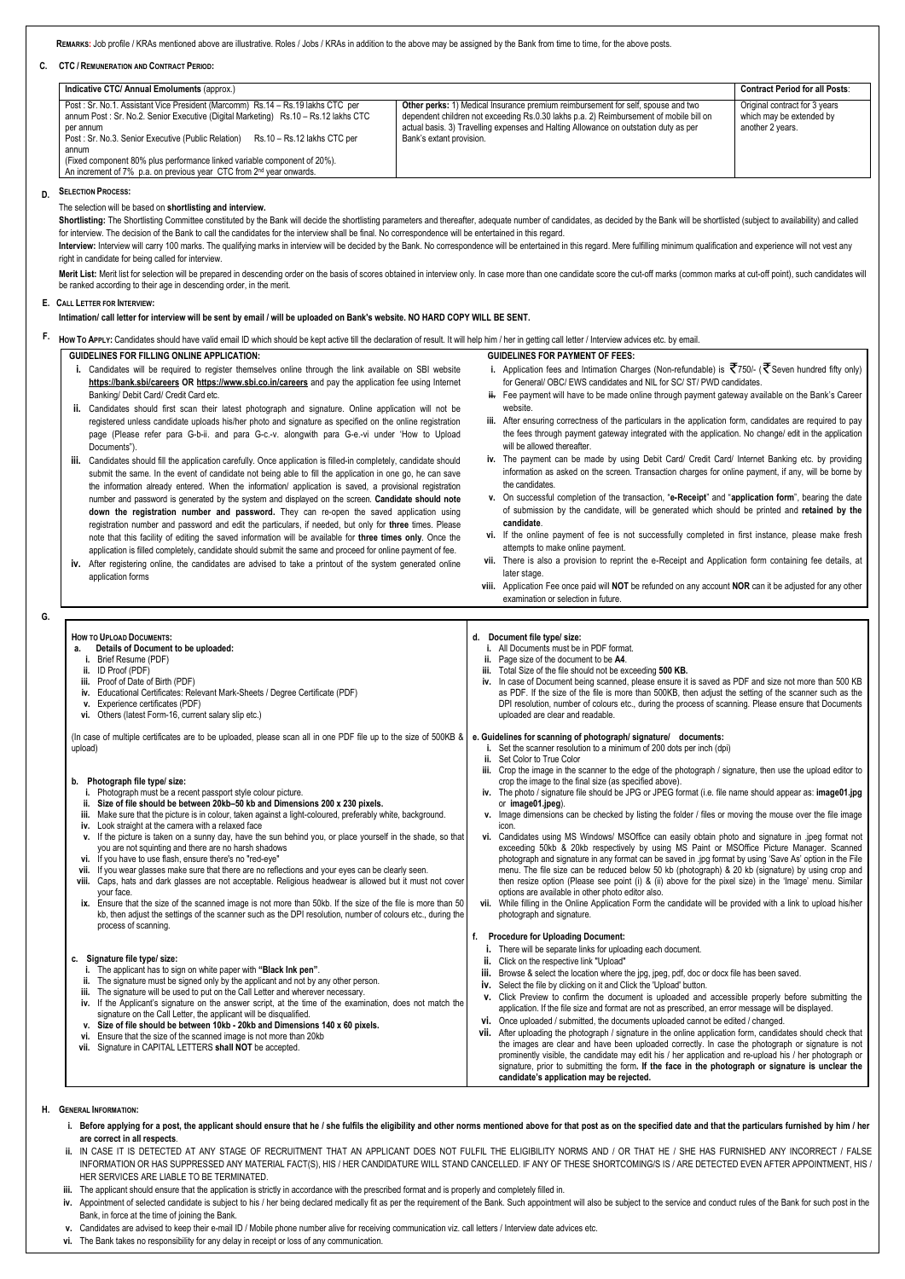**REMARKS:** Job profile / KRAs mentioned above are illustrative. Roles / Jobs / KRAs in addition to the above may be assigned by the Bank from time to time, for the above posts.

**C. CTC / REMUNERATION AND CONTRACT PERIOD:**

| Indicative CTC/ Annual Emoluments (approx.)                                                                                                                                                                                                                                                                                                                                                                                                  |                                                                                                                                                                                                                                                                                                       | <b>Contract Period for all Posts:</b>                                         |
|----------------------------------------------------------------------------------------------------------------------------------------------------------------------------------------------------------------------------------------------------------------------------------------------------------------------------------------------------------------------------------------------------------------------------------------------|-------------------------------------------------------------------------------------------------------------------------------------------------------------------------------------------------------------------------------------------------------------------------------------------------------|-------------------------------------------------------------------------------|
| Post: Sr. No.1. Assistant Vice President (Marcomm) Rs.14 - Rs.19 lakhs CTC per<br>annum Post : Sr. No.2. Senior Executive (Digital Marketing) Rs.10 - Rs.12 lakhs CTC<br>per annum<br>Post: Sr. No.3. Senior Executive (Public Relation) Rs.10 - Rs.12 lakhs CTC per<br>annum<br>(Fixed component 80% plus performance linked variable component of 20%).<br>An increment of 7% p.a. on previous year CTC from 2 <sup>nd</sup> year onwards. | <b>Other perks:</b> 1) Medical Insurance premium reimbursement for self, spouse and two<br>dependent children not exceeding Rs.0.30 lakhs p.a. 2) Reimbursement of mobile bill on<br>actual basis. 3) Travelling expenses and Halting Allowance on outstation duty as per<br>Bank's extant provision. | Original contract for 3 years<br>which may be extended by<br>another 2 years. |

Shortlisting: The Shortlisting Committee constituted by the Bank will decide the shortlisting parameters and thereafter, adequate number of candidates, as decided by the Bank will be shortlisted (subject to availability) a for interview. The decision of the Bank to call the candidates for the interview shall be final. No correspondence will be entertained in this regard.

Interview: Interview will carry 100 marks. The qualifying marks in interview will be decided by the Bank. No correspondence will be entertained in this regard. Mere fulfilling minimum qualification and experience will not right in candidate for being called for interview.

Merit List: Merit list for selection will be prepared in descending order on the basis of scores obtained in interview only. In case more than one candidate score the cut-off marks (common marks at cut-off point), such can be ranked according to their age in descending order, in the merit.

#### **D. SELECTION PROCESS:**

The selection will be based on **shortlisting and interview.**

#### **E. CALL LETTER FOR INTERVIEW:**

**Intimation/ call letter for interview will be sent by email / will be uploaded on Bank's website. NO HARD COPY WILL BE SENT.**

F. How To APPLY: Candidates should have valid email ID which should be kept active till the declaration of result. It will help him / her in getting call letter / Interview advices etc. by email.

#### **GUIDELINES FOR FILLING ONLINE APPLICATION:**

- **i.** Candidates will be required to register themselves online through the link available on SBI website **<https://bank.sbi/careers> OR <https://www.sbi.co.in/careers>** and pay the application fee using Internet Banking/ Debit Card/ Credit Card etc.
- **ii.** Candidates should first scan their latest photograph and signature. Online application will not be registered unless candidate uploads his/her photo and signature as specified on the online registration page (Please refer para G-b-ii. and para G-c.-v. alongwith para G-e.-vi under 'How to Upload Documents").
- **iii.** Candidates should fill the application carefully. Once application is filled-in completely, candidate should submit the same. In the event of candidate not being able to fill the application in one go, he can save the information already entered. When the information/ application is saved, a provisional registration number and password is generated by the system and displayed on the screen. **Candidate should note down the registration number and password.** They can re-open the saved application using registration number and password and edit the particulars, if needed, but only for **three** times. Please note that this facility of editing the saved information will be available for **three times only**. Once the application is filled completely, candidate should submit the same and proceed for online payment of fee.
- **iv.** After registering online, the candidates are advised to take a printout of the system generated online application forms
- **i.** Application fees and Intimation Charges (Non-refundable) is  $\vec{\tau}$  750/- ( $\vec{\tau}$  Seven hundred fifty only) for General/ OBC/ EWS candidates and NIL for SC/ ST/ PWD candidates.
- **ii.** Fee payment will have to be made online through payment gateway available on the Bank's Career website.
- **iii.** After ensuring correctness of the particulars in the application form, candidates are required to pay the fees through payment gateway integrated with the application. No change/ edit in the application will be allowed thereafter.
- **iv.** The payment can be made by using Debit Card/ Credit Card/ Internet Banking etc. by providing information as asked on the screen. Transaction charges for online payment, if any, will be borne by the candidates.
- **v.** On successful completion of the transaction, "**e-Receipt**" and "**application form**", bearing the date of submission by the candidate, will be generated which should be printed and **retained by the candidate**.
- **vi.** If the online payment of fee is not successfully completed in first instance, please make fresh attempts to make online payment.
- **vii.** There is also a provision to reprint the e-Receipt and Application form containing fee details, at later stage.
- **viii.** Application Fee once paid will **NOT** be refunded on any account **NOR** can it be adjusted for any other examination or selection in future.
- **HOW TO UPLOAD DOCUMENTS: a. Details of Document to be uploaded: i.** Brief Resume (PDF) **ii.** ID Proof (PDF) **iii.** Proof of Date of Birth (PDF) **iv.** Educational Certificates: Relevant Mark-Sheets / Degree Certificate (PDF) **v.** Experience certificates (PDF) **vi.** Others (latest Form-16, current salary slip etc.) (In case of multiple certificates are to be uploaded, please scan all in one PDF file up to the size of 500KB & upload) **b. Photograph file type/ size: i.** Photograph must be a recent passport style colour picture. **ii. Size of file should be between 20kb–50 kb and Dimensions 200 x 230 pixels. iii.** Make sure that the picture is in colour, taken against a light-coloured, preferably white, background. **iv.** Look straight at the camera with a relaxed face **v.** If the picture is taken on a sunny day, have the sun behind you, or place yourself in the shade, so that you are not squinting and there are no harsh shadows **vi.** If you have to use flash, ensure there's no "red-eye" **vii.** If you wear glasses make sure that there are no reflections and your eyes can be clearly seen. **viii.** Caps, hats and dark glasses are not acceptable. Religious headwear is allowed but it must not cover your face. **ix.** Ensure that the size of the scanned image is not more than 50kb. If the size of the file is more than 50 kb, then adjust the settings of the scanner such as the DPI resolution, number of colours etc., during the process of scanning. **d. Document file type/ size: i.** All Documents must be in PDF format. **ii.** Page size of the document to be **A4**. **iii.** Total Size of the file should not be exceeding **500 KB. iv.** In case of Document being scanned, please ensure it is saved as PDF and size not more than 500 KB as PDF. If the size of the file is more than 500KB, then adjust the setting of the scanner such as the DPI resolution, number of colours etc., during the process of scanning. Please ensure that Documents uploaded are clear and readable. **e. Guidelines for scanning of photograph/ signature/ documents: i.** Set the scanner resolution to a minimum of 200 dots per inch (dpi) **ii.** Set Color to True Color **iii.** Crop the image in the scanner to the edge of the photograph / signature, then use the upload editor to crop the image to the final size (as specified above). **iv.** The photo / signature file should be JPG or JPEG format (i.e. file name should appear as: **image01.jpg** or **image01.jpeg**). **v.** Image dimensions can be checked by listing the folder / files or moving the mouse over the file image icon. **vi.** Candidates using MS Windows/ MSOffice can easily obtain photo and signature in .jpeg format not exceeding 50kb & 20kb respectively by using MS Paint or MSOffice Picture Manager. Scanned photograph and signature in any format can be saved in .jpg format by using 'Save As' option in the File menu. The file size can be reduced below 50 kb (photograph) & 20 kb (signature) by using crop and then resize option (Please see point (i) & (ii) above for the pixel size) in the 'Image' menu. Similar options are available in other photo editor also. **vii.** While filling in the Online Application Form the candidate will be provided with a link to upload his/her photograph and signature. **f. Procedure for Uploading Document: i.** There will be separate links for uploading each document.
	- **c. Signature file type/ size:**

 **GUIDELINES FOR PAYMENT OF FEES:**

**G.**

| <b>ii.</b> Click on the respective link "Upload"                                                                                                                                                                 |  |  |
|------------------------------------------------------------------------------------------------------------------------------------------------------------------------------------------------------------------|--|--|
| iii. Browse & select the location where the jpg, jpeg, pdf, doc or docx file has been saved.                                                                                                                     |  |  |
| iv. Select the file by clicking on it and Click the 'Upload' button.                                                                                                                                             |  |  |
| v. Click Preview to confirm the document is uploaded and accessible properly before submitting the                                                                                                               |  |  |
| iv. If the Applicant's signature on the answer script, at the time of the examination, does not match the<br>application. If the file size and format are not as prescribed, an error message will be displayed. |  |  |
| vi. Once uploaded / submitted, the documents uploaded cannot be edited / changed.                                                                                                                                |  |  |
| vii. After uploading the photograph / signature in the online application form, candidates should check that                                                                                                     |  |  |
| the images are clear and have been uploaded correctly. In case the photograph or signature is not                                                                                                                |  |  |
| prominently visible, the candidate may edit his / her application and re-upload his / her photograph or                                                                                                          |  |  |
| signature, prior to submitting the form. If the face in the photograph or signature is unclear the                                                                                                               |  |  |
| candidate's application may be rejected.                                                                                                                                                                         |  |  |
|                                                                                                                                                                                                                  |  |  |

- **H. GENERAL INFORMATION:**
	- i. Before applying for a post, the applicant should ensure that he / she fulfils the eligibility and other norms mentioned above for that post as on the specified date and that the particulars furnished by him / her **are correct in all respects**.
	- **ii.** IN CASE IT IS DETECTED AT ANY STAGE OF RECRUITMENT THAT AN APPLICANT DOES NOT FULFIL THE ELIGIBILITY NORMS AND / OR THAT HE / SHE HAS FURNISHED ANY INCORRECT / FALSE INFORMATION OR HAS SUPPRESSED ANY MATERIAL FACT(S), HIS / HER CANDIDATURE WILL STAND CANCELLED. IF ANY OF THESE SHORTCOMING/S IS / ARE DETECTED EVEN AFTER APPOINTMENT, HIS / HER SERVICES ARE LIABLE TO BE TERMINATED.
	- **iii.** The applicant should ensure that the application is strictly in accordance with the prescribed format and is properly and completely filled in.
	- iv. Appointment of selected candidate is subject to his / her being declared medically fit as per the requirement of the Bank. Such appointment will also be subiect to the service and conduct rules of the Bank for such pos Bank, in force at the time of joining the Bank.
	- **v.** Candidates are advised to keep their e-mail ID / Mobile phone number alive for receiving communication viz. call letters / Interview date advices etc.
	- **vi.** The Bank takes no responsibility for any delay in receipt or loss of any communication.